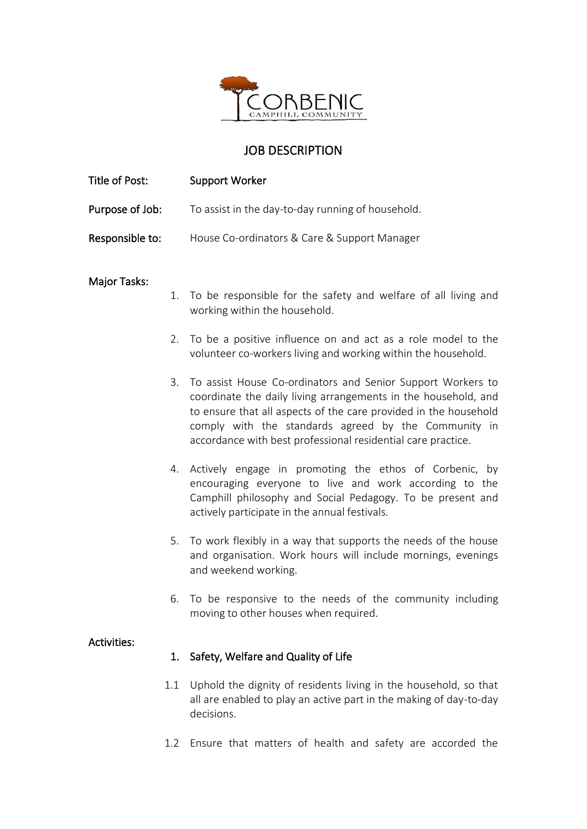

## JOB DESCRIPTION

| Title of Post:      |     | <b>Support Worker</b>                                                                                                                                                                                                                                                                                                     |
|---------------------|-----|---------------------------------------------------------------------------------------------------------------------------------------------------------------------------------------------------------------------------------------------------------------------------------------------------------------------------|
| Purpose of Job:     |     | To assist in the day-to-day running of household.                                                                                                                                                                                                                                                                         |
| Responsible to:     |     | House Co-ordinators & Care & Support Manager                                                                                                                                                                                                                                                                              |
| <b>Major Tasks:</b> | 1.  | To be responsible for the safety and welfare of all living and                                                                                                                                                                                                                                                            |
|                     |     | working within the household.                                                                                                                                                                                                                                                                                             |
|                     | 2.  | To be a positive influence on and act as a role model to the<br>volunteer co-workers living and working within the household.                                                                                                                                                                                             |
|                     | 3.  | To assist House Co-ordinators and Senior Support Workers to<br>coordinate the daily living arrangements in the household, and<br>to ensure that all aspects of the care provided in the household<br>comply with the standards agreed by the Community in<br>accordance with best professional residential care practice. |
|                     | 4.  | Actively engage in promoting the ethos of Corbenic, by<br>encouraging everyone to live and work according to the<br>Camphill philosophy and Social Pedagogy. To be present and<br>actively participate in the annual festivals.                                                                                           |
|                     | 5.  | To work flexibly in a way that supports the needs of the house<br>and organisation. Work hours will include mornings, evenings<br>and weekend working.                                                                                                                                                                    |
|                     |     | 6. To be responsive to the needs of the community including<br>moving to other houses when required.                                                                                                                                                                                                                      |
| <b>Activities:</b>  | 1.  | Safety, Welfare and Quality of Life                                                                                                                                                                                                                                                                                       |
|                     | 1.1 | Uphold the dignity of residents living in the household, so that<br>all are enabled to play an active part in the making of day-to-day<br>decisions.                                                                                                                                                                      |

1.2 Ensure that matters of health and safety are accorded the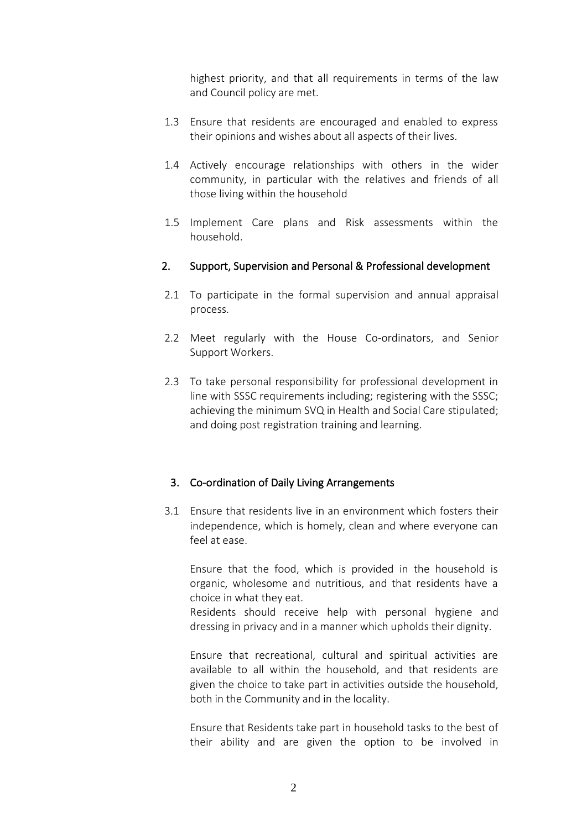highest priority, and that all requirements in terms of the law and Council policy are met.

- 1.3 Ensure that residents are encouraged and enabled to express their opinions and wishes about all aspects of their lives.
- 1.4 Actively encourage relationships with others in the wider community, in particular with the relatives and friends of all those living within the household
- 1.5 Implement Care plans and Risk assessments within the household.

## 2. Support, Supervision and Personal & Professional development

- 2.1 To participate in the formal supervision and annual appraisal process.
- 2.2 Meet regularly with the House Co-ordinators, and Senior Support Workers.
- 2.3 To take personal responsibility for professional development in line with SSSC requirements including; registering with the SSSC; achieving the minimum SVQ in Health and Social Care stipulated; and doing post registration training and learning.

## 3. Co-ordination of Daily Living Arrangements

3.1 Ensure that residents live in an environment which fosters their independence, which is homely, clean and where everyone can feel at ease.

Ensure that the food, which is provided in the household is organic, wholesome and nutritious, and that residents have a choice in what they eat.

Residents should receive help with personal hygiene and dressing in privacy and in a manner which upholds their dignity.

Ensure that recreational, cultural and spiritual activities are available to all within the household, and that residents are given the choice to take part in activities outside the household, both in the Community and in the locality.

Ensure that Residents take part in household tasks to the best of their ability and are given the option to be involved in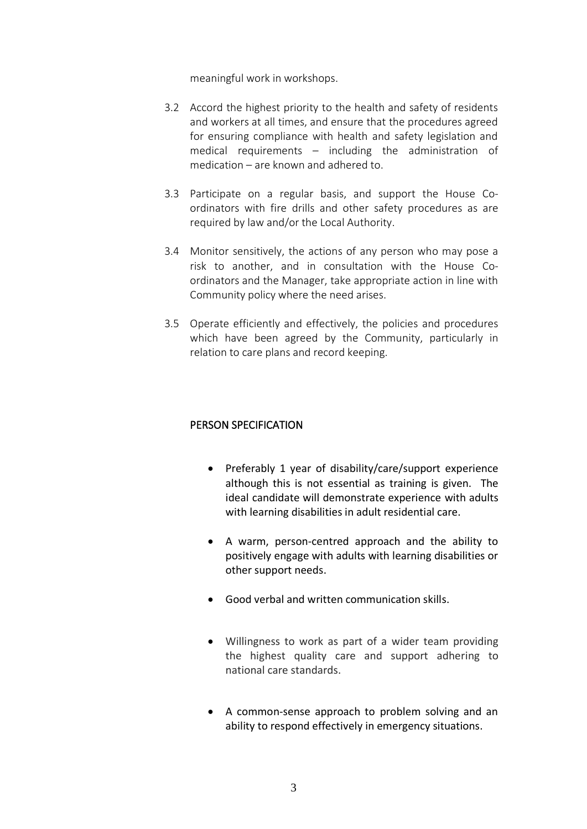meaningful work in workshops.

- 3.2 Accord the highest priority to the health and safety of residents and workers at all times, and ensure that the procedures agreed for ensuring compliance with health and safety legislation and medical requirements – including the administration of medication – are known and adhered to.
- 3.3 Participate on a regular basis, and support the House Coordinators with fire drills and other safety procedures as are required by law and/or the Local Authority.
- 3.4 Monitor sensitively, the actions of any person who may pose a risk to another, and in consultation with the House Coordinators and the Manager, take appropriate action in line with Community policy where the need arises.
- 3.5 Operate efficiently and effectively, the policies and procedures which have been agreed by the Community, particularly in relation to care plans and record keeping.

## PERSON SPECIFICATION

- Preferably 1 year of disability/care/support experience although this is not essential as training is given. The ideal candidate will demonstrate experience with adults with learning disabilities in adult residential care.
- A warm, person-centred approach and the ability to positively engage with adults with learning disabilities or other support needs.
- Good verbal and written communication skills.
- Willingness to work as part of a wider team providing the highest quality care and support adhering to national care standards.
- A common-sense approach to problem solving and an ability to respond effectively in emergency situations.